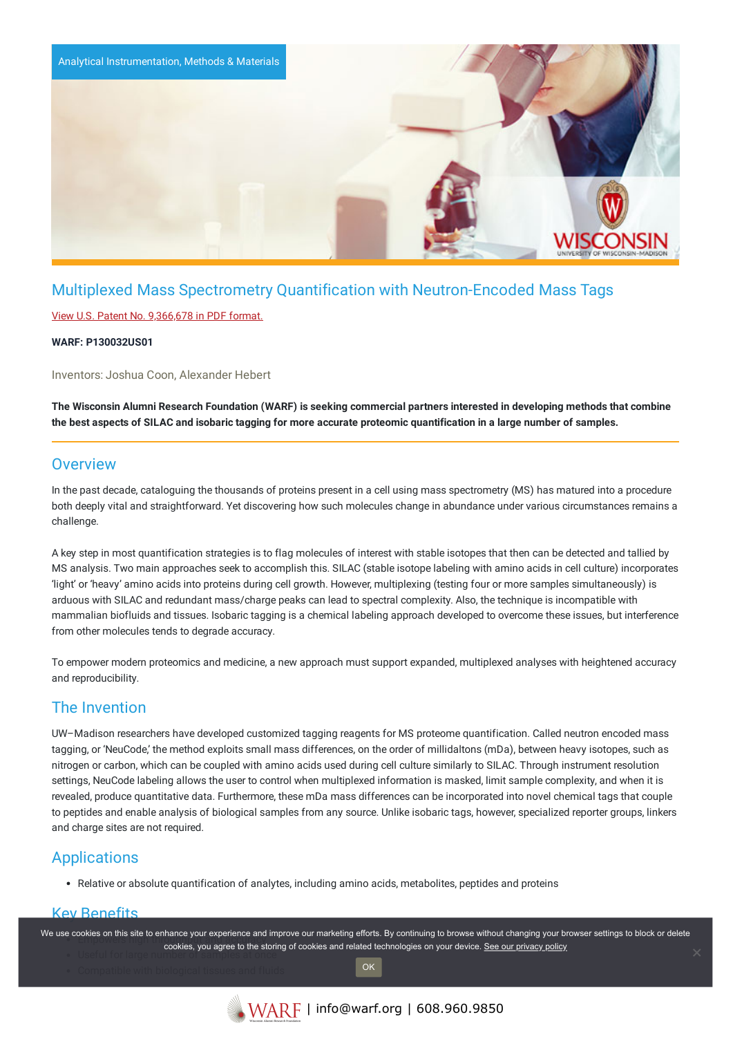

# Multiplexed Mass Spectrometry Quantification with Neutron-Encoded Mass Tags

### View U.S. Patent No. [9,366,678](https://www.warf.org/wp-content/uploads/technologies/ipstatus/P130032US01.PDF) in PDF format.

### **WARF: P130032US01**

Inventors: Joshua Coon, Alexander Hebert

The Wisconsin Alumni Research Foundation (WARF) is seeking commercial partners interested in developing methods that combine the best aspects of SILAC and isobaric tagging for more accurate proteomic quantification in a large number of samples.

## **Overview**

In the past decade, cataloguing the thousands of proteins present in a cell using mass spectrometry (MS) has matured into a procedure both deeply vital and straightforward. Yet discovering how such molecules change in abundance under various circumstances remains a challenge.

A key step in most quantification strategies is to flag molecules of interest with stable isotopes that then can be detected and tallied by MS analysis. Two main approaches seek to accomplish this. SILAC (stable isotope labeling with amino acids in cell culture) incorporates 'light' or 'heavy' amino acids into proteins during cell growth. However, multiplexing (testing four or more samples simultaneously) is arduous with SILAC and redundant mass/charge peaks can lead to spectral complexity. Also, the technique is incompatible with mammalian biofluids and tissues. Isobaric tagging is a chemical labeling approach developed to overcome these issues, but interference from other molecules tends to degrade accuracy.

To empower modern proteomics and medicine, a new approach must support expanded, multiplexed analyses with heightened accuracy and reproducibility.

## The Invention

UW–Madison researchers have developed customized tagging reagents for MS proteome quantification. Called neutron encoded mass tagging, or 'NeuCode,' the method exploits small mass differences, on the order of millidaltons (mDa), between heavy isotopes, such as nitrogen or carbon, which can be coupled with amino acids used during cell culture similarly to SILAC. Through instrument resolution settings, NeuCode labeling allows the user to control when multiplexed information is masked, limit sample complexity, and when it is revealed, produce quantitative data. Furthermore, these mDa mass differences can be incorporated into novel chemical tags that couple to peptides and enable analysis of biological samples from any source. Unlike isobaric tags, however, specialized reporter groups, linkers and charge sites are not required.

## **Applications**

Relative or absolute quantification of analytes, including amino acids, metabolites, peptides and proteins

### Key Benefits

We use cookies on this site to enhance your experience and improve our marketing efforts. By continuing to browse without changing your browser settings to block or delete cookies, you agree to the storing of cookies and related technologies on your device. [See our privacy policy](https://www.warf.org/privacy-policy/)

OK